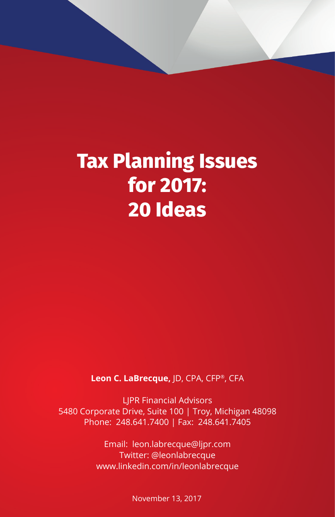# **Tax Planning Issues for 2017: 20 Ideas**

**Leon C. LaBrecque,** JD, CPA, CFP®, CFA

LJPR Financial Advisors 5480 Corporate Drive, Suite 100 | Troy, Michigan 48098 Phone: 248.641.7400 | Fax: 248.641.7405

> Email: leon.labrecque@ljpr.com Twitter: @leonlabrecque www.linkedin.com/in/leonlabrecque

> > November 13, 2017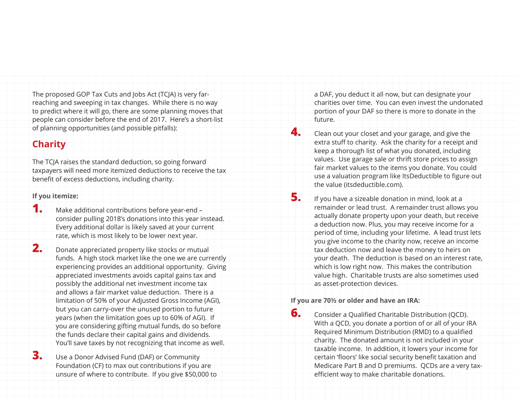The proposed GOP Tax Cuts and Jobs Act (TCJA) is very farreaching and sweeping in tax changes. While there is no way to predict where it will go, there are some planning moves that people can consider before the end of 2017. Here's a short-list of planning opportunities (and possible pitfalls):

### **Charity**

The TCJA raises the standard deduction, so going forward taxpayers will need more itemized deductions to receive the tax benefit of excess deductions, including charity.

#### **If you itemize:**

- **1.** Make additional contributions before year-end consider pulling 2018's donations into this year instead. Every additional dollar is likely saved at your current rate, which is most likely to be lower next year.
- **2.** Donate appreciated property like stocks or mutual funds. A high stock market like the one we are currently experiencing provides an additional opportunity. Giving appreciated investments avoids capital gains tax and possibly the additional net investment income tax and allows a fair market value deduction. There is a limitation of 50% of your Adjusted Gross Income (AGI), but you can carry-over the unused portion to future years (when the limitation goes up to 60% of AGI). If you are considering gifting mutual funds, do so before the funds declare their capital gains and dividends. You'll save taxes by not recognizing that income as well.
- **3.** Use a Donor Advised Fund (DAF) or Community Foundation (CF) to max out contributions if you are unsure of where to contribute. If you give \$50,000 to

a DAF, you deduct it all now, but can designate your charities over time. You can even invest the undonated portion of your DAF so there is more to donate in the future.

**4.** Clean out your closet and your garage, and give the extra stuff to charity. Ask the charity for a receipt and keep a thorough list of what you donated, including values. Use garage sale or thrift store prices to assign fair market values to the items you donate. You could use a valuation program like ItsDeductible to figure out the value (itsdeductible.com).

**5.** If you have a sizeable donation in mind, look at a remainder or lead trust. A remainder trust allows you actually donate property upon your death, but receive a deduction now. Plus, you may receive income for a period of time, including your lifetime. A lead trust lets you give income to the charity now, receive an income tax deduction now and leave the money to heirs on your death. The deduction is based on an interest rate, which is low right now. This makes the contribution value high. Charitable trusts are also sometimes used as asset-protection devices.

#### **If you are 70½ or older and have an IRA:**

**6.** Consider a Qualified Charitable Distribution (QCD). With a QCD, you donate a portion of or all of your IRA Required Minimum Distribution (RMD) to a qualified charity. The donated amount is not included in your taxable income. In addition, it lowers your income for certain 'floors' like social security benefit taxation and Medicare Part B and D premiums. QCDs are a very taxefficient way to make charitable donations.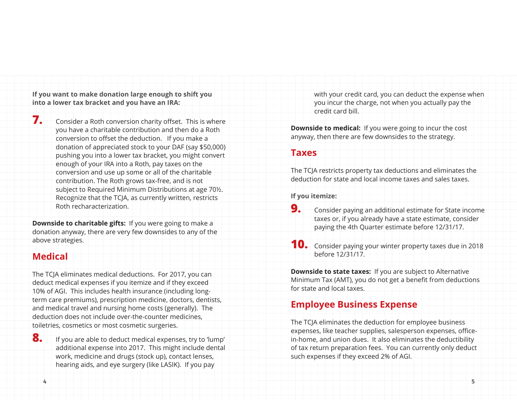**If you want to make donation large enough to shift you into a lower tax bracket and you have an IRA:**

**7.** Consider a Roth conversion charity offset. This is where you have a charitable contribution and then do a Roth conversion to offset the deduction. If you make a donation of appreciated stock to your DAF (say \$50,000) pushing you into a lower tax bracket, you might convert enough of your IRA into a Roth, pay taxes on the conversion and use up some or all of the charitable contribution. The Roth grows tax-free, and is not subject to Required Minimum Distributions at age 70½. Recognize that the TCJA, as currently written, restricts Roth recharacterization.

**Downside to charitable gifts:** If you were going to make a donation anyway, there are very few downsides to any of the above strategies.

# **Medical**

The TCJA eliminates medical deductions. For 2017, you can deduct medical expenses if you itemize and if they exceed 10% of AGI. This includes health insurance (including longterm care premiums), prescription medicine, doctors, dentists, and medical travel and nursing home costs (generally). The deduction does not include over-the-counter medicines, toiletries, cosmetics or most cosmetic surgeries.

**8.** If you are able to deduct medical expenses, try to 'lump' additional expense into 2017. This might include dental work, medicine and drugs (stock up), contact lenses, hearing aids, and eye surgery (like LASIK). If you pay

with your credit card, you can deduct the expense when you incur the charge, not when you actually pay the credit card bill.

**Downside to medical:** If you were going to incur the cost anyway, then there are few downsides to the strategy.

#### **Taxes**

The TCJA restricts property tax deductions and eliminates the deduction for state and local income taxes and sales taxes.

**If you itemize:** 

- **9.** Consider paying an additional estimate for State income taxes or, if you already have a state estimate, consider paying the 4th Quarter estimate before 12/31/17.
- **10.** Consider paying your winter property taxes due in 2018 before 12/31/17.

**Downside to state taxes:** If you are subject to Alternative Minimum Tax (AMT), you do not get a benefit from deductions for state and local taxes.

# **Employee Business Expense**

The TCJA eliminates the deduction for employee business expenses, like teacher supplies, salesperson expenses, officein-home, and union dues. It also eliminates the deductibility of tax return preparation fees. You can currently only deduct such expenses if they exceed 2% of AGI.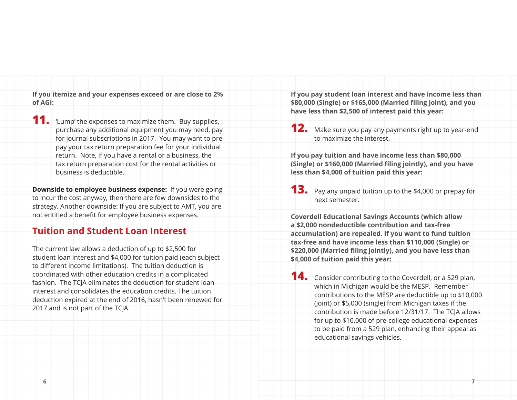**If you itemize and your expenses exceed or are close to 2% of AGI:**

**11.** 'Lump' the expenses to maximize them. Buy supplies, purchase any additional equipment you may need, pay for journal subscriptions in 2017. You may want to prepay your tax return preparation fee for your individual return. Note, if you have a rental or a business, the tax return preparation cost for the rental activities or business is deductible.

**Downside to employee business expense:** If you were going to incur the cost anyway, then there are few downsides to the strategy. Another downside: If you are subject to AMT, you are not entitled a benefit for employee business expenses.

### **Tuition and Student Loan Interest**

The current law allows a deduction of up to \$2,500 for student loan interest and \$4,000 for tuition paid (each subject to different income limitations). The tuition deduction is coordinated with other education credits in a complicated fashion. The TCJA eliminates the deduction for student loan interest and consolidates the education credits. The tuition deduction expired at the end of 2016, hasn't been renewed for 2017 and is not part of the TCJA.

**If you pay student loan interest and have income less than \$80,000 (Single) or \$165,000 (Married filing joint), and you have less than \$2,500 of interest paid this year:**

**12.** Make sure you pay any payments right up to year-end to maximize the interest.

**If you pay tuition and have income less than \$80,000 (Single) or \$160,000 (Married filing jointly), and you have less than \$4,000 of tuition paid this year:**

**13.** Pay any unpaid tuition up to the \$4,000 or prepay for next semester.

**Coverdell Educational Savings Accounts (which allow a \$2,000 nondeductible contribution and tax-free accumulation) are repealed. If you want to fund tuition tax-free and have income less than \$110,000 (Single) or \$220,000 (Married filing jointly), and you have less than \$4,000 of tuition paid this year:**

**14.** Consider contributing to the Coverdell, or a 529 plan, which in Michigan would be the MESP. Remember contributions to the MESP are deductible up to \$10,000 (joint) or \$5,000 (single) from Michigan taxes if the contribution is made before 12/31/17. The TCJA allows for up to \$10,000 of pre-college educational expenses to be paid from a 529 plan, enhancing their appeal as educational savings vehicles.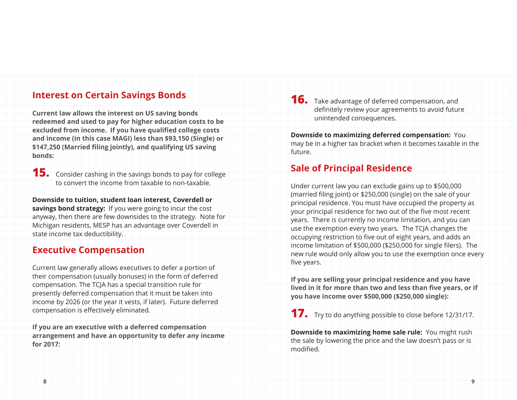#### **Interest on Certain Savings Bonds**

**Current law allows the interest on US saving bonds redeemed and used to pay for higher education costs to be excluded from income. If you have qualified college costs and income (in this case MAGI) less than \$93,150 (Single) or \$147,250 (Married filing jointly), and qualifying US saving bonds:**

**15.** Consider cashing in the savings bonds to pay for college to convert the income from taxable to non-taxable.

**Downside to tuition, student loan interest, Coverdell or savings bond strategy:** If you were going to incur the cost anyway, then there are few downsides to the strategy. Note for Michigan residents, MESP has an advantage over Coverdell in state income tax deductibility.

### **Executive Compensation**

Current law generally allows executives to defer a portion of their compensation (usually bonuses) in the form of deferred compensation. The TCJA has a special transition rule for presently deferred compensation that it must be taken into income by 2026 (or the year it vests, if later). Future deferred compensation is effectively eliminated.

**If you are an executive with a deferred compensation arrangement and have an opportunity to defer any income for 2017:**

**16.** Take advantage of deferred compensation, and definitely review your agreements to avoid future unintended consequences.

**Downside to maximizing deferred compensation:** You may be in a higher tax bracket when it becomes taxable in the future.

# **Sale of Principal Residence**

Under current law you can exclude gains up to \$500,000 (married filing joint) or \$250,000 (single) on the sale of your principal residence. You must have occupied the property as your principal residence for two out of the five most recent years. There is currently no income limitation, and you can use the exemption every two years. The TCJA changes the occupying restriction to five out of eight years, and adds an income limitation of \$500,000 (\$250,000 for single filers). The new rule would only allow you to use the exemption once every five years.

**If you are selling your principal residence and you have lived in it for more than two and less than five years, or if you have income over \$500,000 (\$250,000 single):**

**17.** Try to do anything possible to close before 12/31/17.

**Downside to maximizing home sale rule:** You might rush the sale by lowering the price and the law doesn't pass or is modified.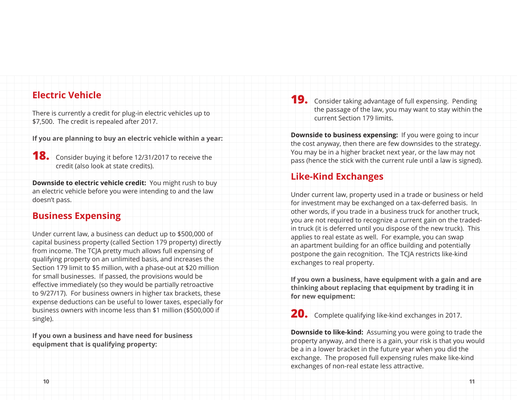#### **Electric Vehicle**

There is currently a credit for plug-in electric vehicles up to \$7,500. The credit is repealed after 2017.

**If you are planning to buy an electric vehicle within a year:**

**18.** Consider buying it before 12/31/2017 to receive the credit (also look at state credits).

**Downside to electric vehicle credit:** You might rush to buy an electric vehicle before you were intending to and the law doesn't pass.

# **Business Expensing**

Under current law, a business can deduct up to \$500,000 of capital business property (called Section 179 property) directly from income. The TCJA pretty much allows full expensing of qualifying property on an unlimited basis, and increases the Section 179 limit to \$5 million, with a phase-out at \$20 million for small businesses. If passed, the provisions would be effective immediately (so they would be partially retroactive to 9/27/17). For business owners in higher tax brackets, these expense deductions can be useful to lower taxes, especially for business owners with income less than \$1 million (\$500,000 if single).

**If you own a business and have need for business equipment that is qualifying property:**

**19.** Consider taking advantage of full expensing. Pending the passage of the law, you may want to stay within the current Section 179 limits.

**Downside to business expensing:** If you were going to incur the cost anyway, then there are few downsides to the strategy. You may be in a higher bracket next year, or the law may not pass (hence the stick with the current rule until a law is signed).

## **Like-Kind Exchanges**

Under current law, property used in a trade or business or held for investment may be exchanged on a tax-deferred basis. In other words, if you trade in a business truck for another truck, you are not required to recognize a current gain on the tradedin truck (it is deferred until you dispose of the new truck). This applies to real estate as well. For example, you can swap an apartment building for an office building and potentially postpone the gain recognition. The TCJA restricts like-kind exchanges to real property.

**If you own a business, have equipment with a gain and are thinking about replacing that equipment by trading it in for new equipment:**

**20.** Complete qualifying like-kind exchanges in 2017.

**Downside to like-kind:** Assuming you were going to trade the property anyway, and there is a gain, your risk is that you would be a in a lower bracket in the future year when you did the exchange. The proposed full expensing rules make like-kind exchanges of non-real estate less attractive.